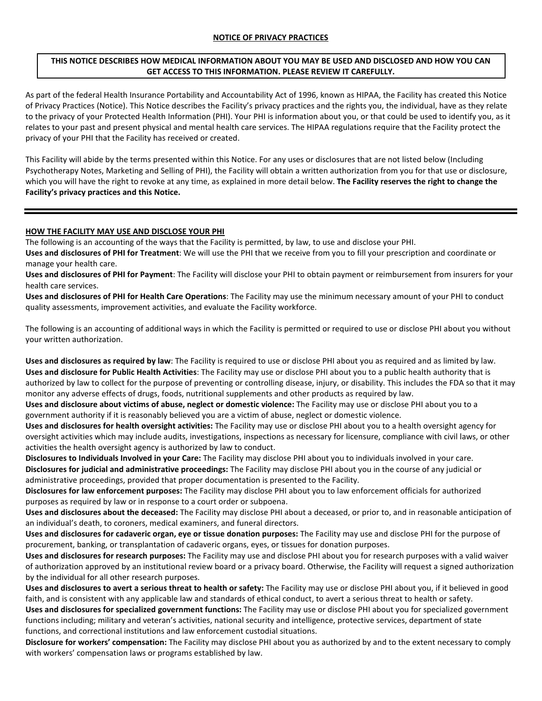# **THIS NOTICE DESCRIBES HOW MEDICAL INFORMATION ABOUT YOU MAY BE USED AND DISCLOSED AND HOW YOU CAN GET ACCESS TO THIS INFORMATION. PLEASE REVIEW IT CAREFULLY.**

As part of the federal Health Insurance Portability and Accountability Act of 1996, known as HIPAA, the Facility has created this Notice of Privacy Practices (Notice). This Notice describes the Facility's privacy practices and the rights you, the individual, have as they relate to the privacy of your Protected Health Information (PHI). Your PHI is information about you, or that could be used to identify you, as it relates to your past and present physical and mental health care services. The HIPAA regulations require that the Facility protect the privacy of your PHI that the Facility has received or created.

This Facility will abide by the terms presented within this Notice. For any uses or disclosures that are not listed below (Including Psychotherapy Notes, Marketing and Selling of PHI), the Facility will obtain a written authorization from you for that use or disclosure, which you will have the right to revoke at any time, as explained in more detail below. **The Facility reserves the right to change the Facility's privacy practices and this Notice.**

## **HOW THE FACILITY MAY USE AND DISCLOSE YOUR PHI**

The following is an accounting of the ways that the Facility is permitted, by law, to use and disclose your PHI.

**Uses and disclosures of PHI for Treatment**: We will use the PHI that we receive from you to fill your prescription and coordinate or manage your health care.

**Uses and disclosures of PHI for Payment**: The Facility will disclose your PHI to obtain payment or reimbursement from insurers for your health care services.

**Uses and disclosures of PHI for Health Care Operations**: The Facility may use the minimum necessary amount of your PHI to conduct quality assessments, improvement activities, and evaluate the Facility workforce.

The following is an accounting of additional ways in which the Facility is permitted or required to use or disclose PHI about you without your written authorization.

**Uses and disclosures as required by law**: The Facility is required to use or disclose PHI about you as required and as limited by law. **Uses and disclosure for Public Health Activities**: The Facility may use or disclose PHI about you to a public health authority that is authorized by law to collect for the purpose of preventing or controlling disease, injury, or disability. This includes the FDA so that it may monitor any adverse effects of drugs, foods, nutritional supplements and other products as required by law.

**Uses and disclosure about victims of abuse, neglect or domestic violence:** The Facility may use or disclose PHI about you to a government authority if it is reasonably believed you are a victim of abuse, neglect or domestic violence.

**Uses and disclosures for health oversight activities:** The Facility may use or disclose PHI about you to a health oversight agency for oversight activities which may include audits, investigations, inspections as necessary for licensure, compliance with civil laws, or other activities the health oversight agency is authorized by law to conduct.

**Disclosures to Individuals Involved in your Care:** The Facility may disclose PHI about you to individuals involved in your care. **Disclosures for judicial and administrative proceedings:** The Facility may disclose PHI about you in the course of any judicial or administrative proceedings, provided that proper documentation is presented to the Facility.

**Disclosures for law enforcement purposes:** The Facility may disclose PHI about you to law enforcement officials for authorized purposes as required by law or in response to a court order or subpoena.

**Uses and disclosures about the deceased:** The Facility may disclose PHI about a deceased, or prior to, and in reasonable anticipation of an individual's death, to coroners, medical examiners, and funeral directors.

**Uses and disclosures for cadaveric organ, eye or tissue donation purposes:** The Facility may use and disclose PHI for the purpose of procurement, banking, or transplantation of cadaveric organs, eyes, or tissues for donation purposes.

**Uses and disclosures for research purposes:** The Facility may use and disclose PHI about you for research purposes with a valid waiver of authorization approved by an institutional review board or a privacy board. Otherwise, the Facility will request a signed authorization by the individual for all other research purposes.

**Uses and disclosures to avert a serious threat to health or safety:** The Facility may use or disclose PHI about you, if it believed in good faith, and is consistent with any applicable law and standards of ethical conduct, to avert a serious threat to health or safety.

**Uses and disclosures for specialized government functions:** The Facility may use or disclose PHI about you for specialized government functions including; military and veteran's activities, national security and intelligence, protective services, department of state functions, and correctional institutions and law enforcement custodial situations.

**Disclosure for workers' compensation:** The Facility may disclose PHI about you as authorized by and to the extent necessary to comply with workers' compensation laws or programs established by law.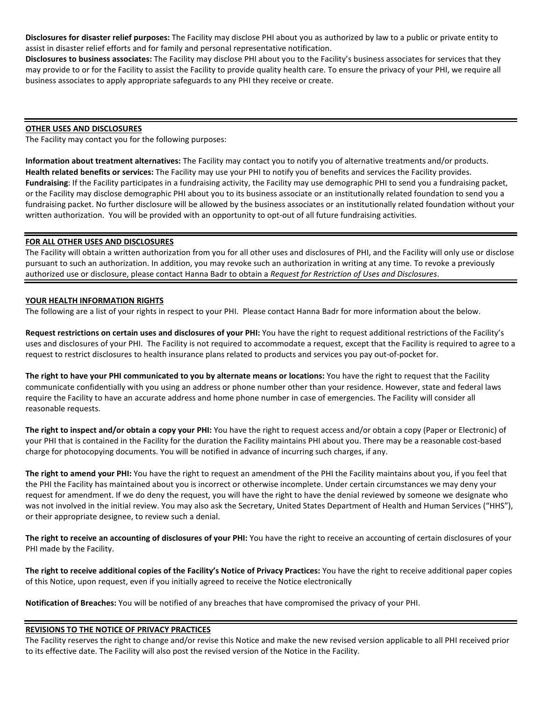**Disclosures for disaster relief purposes:** The Facility may disclose PHI about you as authorized by law to a public or private entity to assist in disaster relief efforts and for family and personal representative notification.

**Disclosures to business associates:** The Facility may disclose PHI about you to the Facility's business associates for services that they may provide to or for the Facility to assist the Facility to provide quality health care. To ensure the privacy of your PHI, we require all business associates to apply appropriate safeguards to any PHI they receive or create.

## **OTHER USES AND DISCLOSURES**

The Facility may contact you for the following purposes:

**Information about treatment alternatives:** The Facility may contact you to notify you of alternative treatments and/or products. **Health related benefits or services:** The Facility may use your PHI to notify you of benefits and services the Facility provides. **Fundraising**: If the Facility participates in a fundraising activity, the Facility may use demographic PHI to send you a fundraising packet, or the Facility may disclose demographic PHI about you to its business associate or an institutionally related foundation to send you a fundraising packet. No further disclosure will be allowed by the business associates or an institutionally related foundation without your written authorization. You will be provided with an opportunity to opt-out of all future fundraising activities.

### **FOR ALL OTHER USES AND DISCLOSURES**

The Facility will obtain a written authorization from you for all other uses and disclosures of PHI, and the Facility will only use or disclose pursuant to such an authorization. In addition, you may revoke such an authorization in writing at any time. To revoke a previously authorized use or disclosure, please contact Hanna Badr to obtain a *Request for Restriction of Uses and Disclosures*.

## **YOUR HEALTH INFORMATION RIGHTS**

The following are a list of your rights in respect to your PHI. Please contact Hanna Badr for more information about the below.

**Request restrictions on certain uses and disclosures of your PHI:** You have the right to request additional restrictions of the Facility's uses and disclosures of your PHI. The Facility is not required to accommodate a request, except that the Facility is required to agree to a request to restrict disclosures to health insurance plans related to products and services you pay out-of-pocket for.

**The right to have your PHI communicated to you by alternate means or locations:** You have the right to request that the Facility communicate confidentially with you using an address or phone number other than your residence. However, state and federal laws require the Facility to have an accurate address and home phone number in case of emergencies. The Facility will consider all reasonable requests.

**The right to inspect and/or obtain a copy your PHI:** You have the right to request access and/or obtain a copy (Paper or Electronic) of your PHI that is contained in the Facility for the duration the Facility maintains PHI about you. There may be a reasonable cost-based charge for photocopying documents. You will be notified in advance of incurring such charges, if any.

**The right to amend your PHI:** You have the right to request an amendment of the PHI the Facility maintains about you, if you feel that the PHI the Facility has maintained about you is incorrect or otherwise incomplete. Under certain circumstances we may deny your request for amendment. If we do deny the request, you will have the right to have the denial reviewed by someone we designate who was not involved in the initial review. You may also ask the Secretary, United States Department of Health and Human Services ("HHS"), or their appropriate designee, to review such a denial.

**The right to receive an accounting of disclosures of your PHI:** You have the right to receive an accounting of certain disclosures of your PHI made by the Facility.

**The right to receive additional copies of the Facility's Notice of Privacy Practices:** You have the right to receive additional paper copies of this Notice, upon request, even if you initially agreed to receive the Notice electronically

**Notification of Breaches:** You will be notified of any breaches that have compromised the privacy of your PHI.

### **REVISIONS TO THE NOTICE OF PRIVACY PRACTICES**

The Facility reserves the right to change and/or revise this Notice and make the new revised version applicable to all PHI received prior to its effective date. The Facility will also post the revised version of the Notice in the Facility.